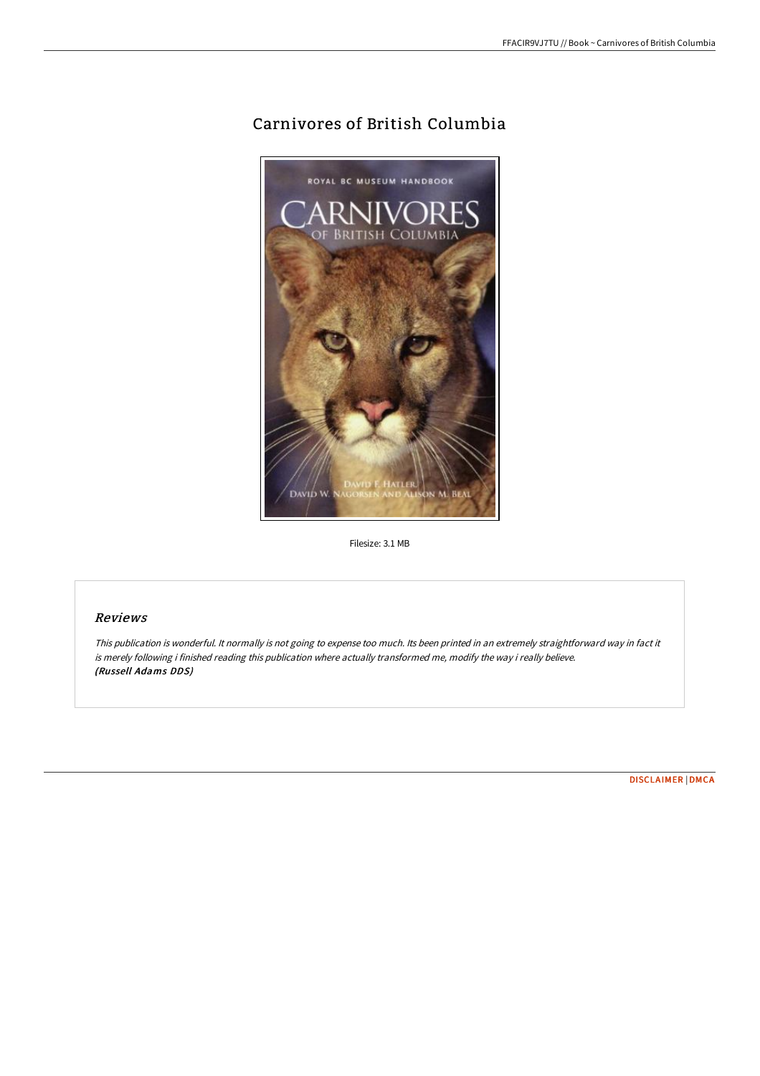## Carnivores of British Columbia



Filesize: 3.1 MB

## Reviews

This publication is wonderful. It normally is not going to expense too much. Its been printed in an extremely straightforward way in fact it is merely following i finished reading this publication where actually transformed me, modify the way i really believe. (Russell Adams DDS)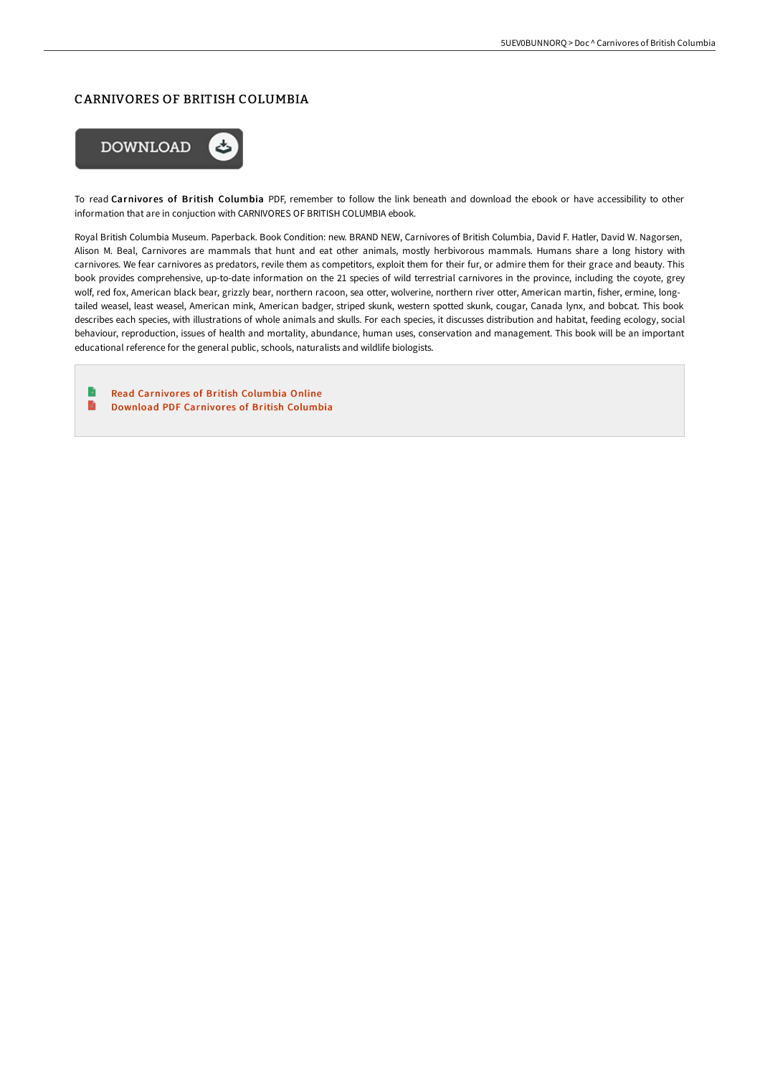## CARNIVORES OF BRITISH COLUMBIA



To read Carnivores of British Columbia PDF, remember to follow the link beneath and download the ebook or have accessibility to other information that are in conjuction with CARNIVORES OF BRITISH COLUMBIA ebook.

Royal British Columbia Museum. Paperback. Book Condition: new. BRAND NEW, Carnivores of British Columbia, David F. Hatler, David W. Nagorsen, Alison M. Beal, Carnivores are mammals that hunt and eat other animals, mostly herbivorous mammals. Humans share a long history with carnivores. We fear carnivores as predators, revile them as competitors, exploit them for their fur, or admire them for their grace and beauty. This book provides comprehensive, up-to-date information on the 21 species of wild terrestrial carnivores in the province, including the coyote, grey wolf, red fox, American black bear, grizzly bear, northern racoon, sea otter, wolverine, northern river otter, American martin, fisher, ermine, longtailed weasel, least weasel, American mink, American badger, striped skunk, western spotted skunk, cougar, Canada lynx, and bobcat. This book describes each species, with illustrations of whole animals and skulls. For each species, it discusses distribution and habitat, feeding ecology, social behaviour, reproduction, issues of health and mortality, abundance, human uses, conservation and management. This book will be an important educational reference for the general public, schools, naturalists and wildlife biologists.

B Read [Carnivores](http://techno-pub.tech/carnivores-of-british-columbia.html) of British Columbia Online B Download PDF [Carnivores](http://techno-pub.tech/carnivores-of-british-columbia.html) of British Columbia